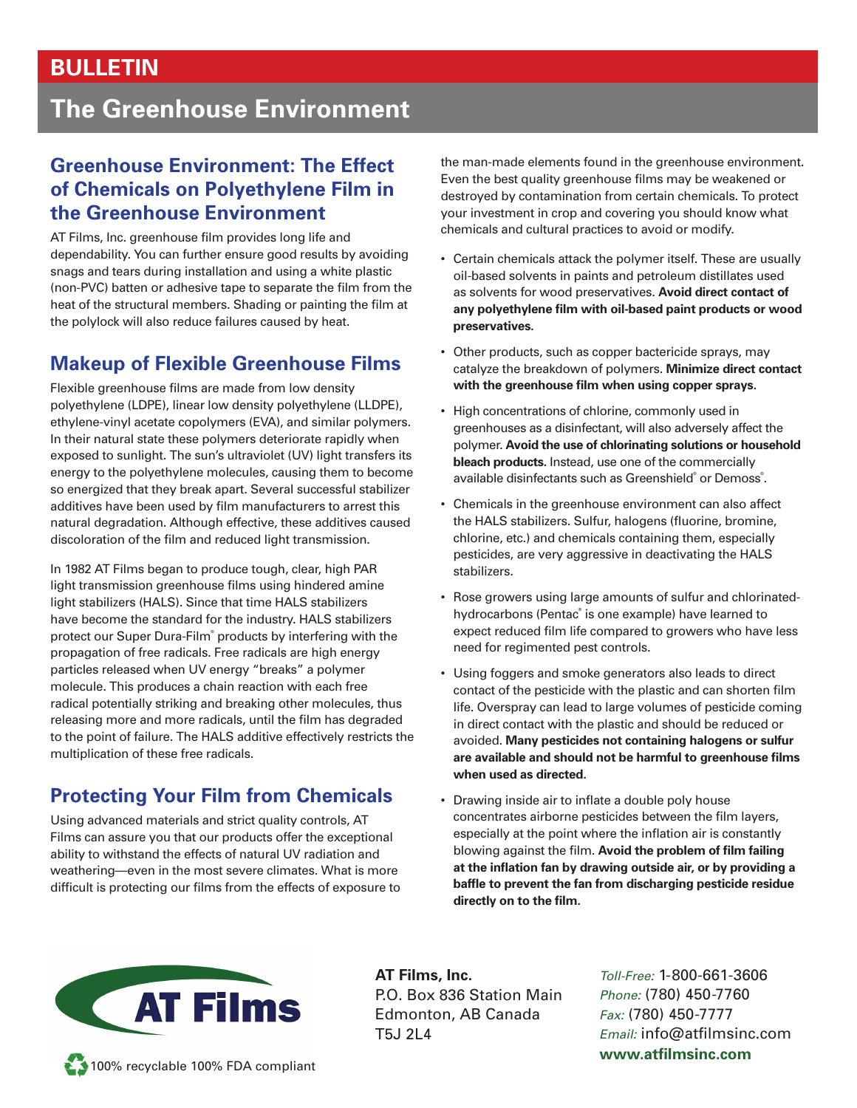### **BULLETIN**

# **The Greenhouse Environment**

#### **Greenhouse Environment: The Effect of Chemicals on Polyethylene Film in the Greenhouse Environment**

AT Films, Inc. greenhouse film provides long life and dependability. You can further ensure good results by avoiding snags and tears during installation and using a white plastic (non-PVC) batten or adhesive tape to separate the film from the heat of the structural members. Shading or painting the film at the polylock will also reduce failures caused by heat.

### **Makeup of Flexible Greenhouse Films**

Flexible greenhouse films are made from low density polyethylene (LDPE), linear low density polyethylene (LLDPE), ethylene-vinyl acetate copolymers (EVA), and similar polymers. In their natural state these polymers deteriorate rapidly when exposed to sunlight. The sun's ultraviolet (UV) light transfers its energy to the polyethylene molecules, causing them to become so energized that they break apart. Several successful stabilizer additives have been used by film manufacturers to arrest this natural degradation. Although effective, these additives caused discoloration of the film and reduced light transmission.

In 1982 AT Films began to produce tough, clear, high PAR light transmission greenhouse films using hindered amine light stabilizers (HALS). Since that time HALS stabilizers have become the standard for the industry. HALS stabilizers protect our Super Dura-Film® products by interfering with the propagation of free radicals. Free radicals are high energy particles released when UV energy "breaks" a polymer molecule. This produces a chain reaction with each free radical potentially striking and breaking other molecules, thus releasing more and more radicals, until the film has degraded to the point of failure. The HALS additive effectively restricts the multiplication of these free radicals.

### **Protecting Your Film from Chemicals**

Using advanced materials and strict quality controls, AT Films can assure you that our products offer the exceptional ability to withstand the effects of natural UV radiation and weathering—even in the most severe climates. What is more difficult is protecting our films from the effects of exposure to the man-made elements found in the greenhouse environment. Even the best quality greenhouse films may be weakened or destroyed by contamination from certain chemicals. To protect your investment in crop and covering you should know what chemicals and cultural practices to avoid or modify.

- Certain chemicals attack the polymer itself. These are usually oil-based solvents in paints and petroleum distillates used as solvents for wood preservatives. **Avoid direct contact of**  any polyethylene film with oil-based paint products or wood **preservatives.**
- Other products, such as copper bactericide sprays, may catalyze the breakdown of polymers. **Minimize direct contact**  with the greenhouse film when using copper sprays.
- High concentrations of chlorine, commonly used in greenhouses as a disinfectant, will also adversely affect the polymer. **Avoid the use of chlorinating solutions or household bleach products.** Instead, use one of the commercially available disinfectants such as Greenshield® or Demoss®.
- Chemicals in the greenhouse environment can also affect the HALS stabilizers. Sulfur, halogens (fluorine, bromine, chlorine, etc.) and chemicals containing them, especially pesticides, are very aggressive in deactivating the HALS stabilizers.
- Rose growers using large amounts of sulfur and chlorinatedhydrocarbons (Pentac® is one example) have learned to expect reduced film life compared to growers who have less need for regimented pest controls.
- Using foggers and smoke generators also leads to direct contact of the pesticide with the plastic and can shorten film life. Overspray can lead to large volumes of pesticide coming in direct contact with the plastic and should be reduced or avoided. **Many pesticides not containing halogens or sulfur**  are available and should not be harmful to greenhouse films **when used as directed.**
- Drawing inside air to inflate a double poly house concentrates airborne pesticides between the film layers, especially at the point where the inflation air is constantly blowing against the film. Avoid the problem of film failing at the inflation fan by drawing outside air, or by providing a baffle to prevent the fan from discharging pesticide residue directly on to the film.



**AT Films, Inc.** P.O. Box 836 Station Main Edmonton, AB Canada T5J 2L4

*Toll-Free:* 1-800-661-3606 *Phone:* (780) 450-7760 *Fax:* (780) 450-7777 *Email:* info@atfilmsinc.com www.atfilmsinc.com

100% recyclable 100% FDA compliant